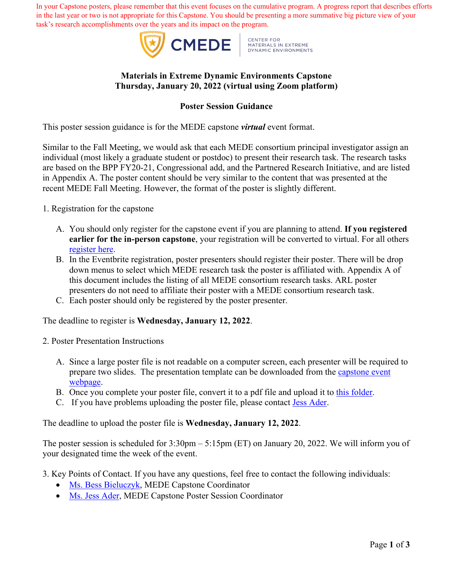In your Capstone posters, please remember that this event focuses on the cumulative program. A progress report that describes efforts in the last year or two is not appropriate for this Capstone. You should be presenting a more summative big picture view of your task's research accomplishments over the years and its impact on the program.



CENTER FOR<br>MATERIALS IN EXTREME<br>DYNAMIC ENVIRONMENTS

### **Materials in Extreme Dynamic Environments Capstone Thursday, January 20, 2022 (virtual using Zoom platform)**

### **Poster Session Guidance**

This poster session guidance is for the MEDE capstone *virtual* event format.

Similar to the Fall Meeting, we would ask that each MEDE consortium principal investigator assign an individual (most likely a graduate student or postdoc) to present their research task. The research tasks are based on the BPP FY20-21, Congressional add, and the Partnered Research Initiative, and are listed in Appendix A. The poster content should be very similar to the content that was presented at the recent MEDE Fall Meeting. However, the format of the poster is slightly different.

- 1. Registration for the capstone
	- A. You should only register for the capstone event if you are planning to attend. **If you registered earlier for the in-person capstone**, your registration will be converted to virtual. For all others [register here.](https://www.eventbrite.com/e/mede-cra-capstone-tickets-222272461917)
	- B. In the Eventbrite registration, poster presenters should register their poster. There will be drop down menus to select which MEDE research task the poster is affiliated with. Appendix A of this document includes the listing of all MEDE consortium research tasks. ARL poster presenters do not need to affiliate their poster with a MEDE consortium research task.
	- C. Each poster should only be registered by the poster presenter.

The deadline to register is **Wednesday, January 12, 2022**.

- 2. Poster Presentation Instructions
	- A. Since a large poster file is not readable on a computer screen, each presenter will be required to prepare two slides. The presentation template can be downloaded from the [capstone event](https://hemi.jhu.edu/cmede/home/news-and-events/mede-capstone-cra-only/) [webpage.](https://hemi.jhu.edu/cmede/home/news-and-events/mede-capstone-cra-only/)
	- B. Once you complete your poster file, convert it to a pdf file and upload it to [this folder.](https://livejohnshopkins-my.sharepoint.com/:f:/g/personal/jader2_jh_edu/EshVaxQ3cQtKn0GZNvkT8foB11dBYxOcBibCPadDugz7Rw?e=yBabVf)
	- C. If you have problems uploading the poster file, please contact **Jess Ader**.

The deadline to upload the poster file is **Wednesday, January 12, 2022**.

The poster session is scheduled for 3:30pm – 5:15pm (ET) on January 20, 2022. We will inform you of your designated time the week of the event.

3. Key Points of Contact. If you have any questions, feel free to contact the following individuals:

- [Ms. Bess Bieluczyk](mailto:bess@jhu.edu), MEDE Capstone Coordinator
- [Ms. Jess Ader,](mailto:jader2@jhu.edu) MEDE Capstone Poster Session Coordinator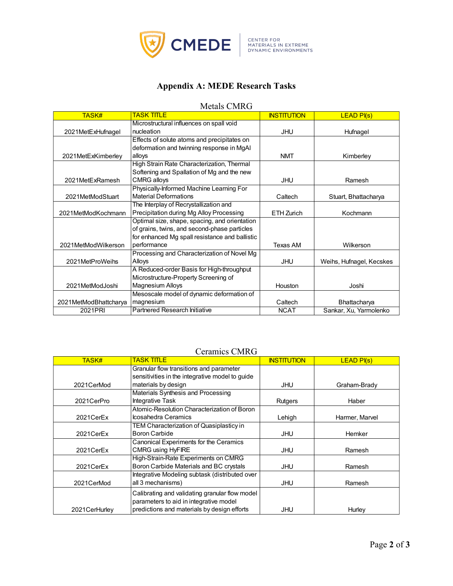

# **Appendix A: MEDE Research Tasks**

#### Metals CMRG

| <b>TASK#</b>          | <b>TASK TITLE</b>                              | <b>INSTITUTION</b> | $LEAD$ $PI(s)$           |
|-----------------------|------------------------------------------------|--------------------|--------------------------|
|                       | Microstructural influences on spall void       |                    |                          |
| 2021MetExHufnagel     | nucleation                                     | <b>JHU</b>         | Hufnagel                 |
|                       | Effects of solute atoms and precipitates on    |                    |                          |
|                       | deformation and twinning response in MgAI      |                    |                          |
| 2021MetExKimberley    | alloys                                         | <b>NMT</b>         | Kimberley                |
|                       | High Strain Rate Characterization, Thermal     |                    |                          |
|                       | Softening and Spallation of Mg and the new     |                    |                          |
| 2021MetExRamesh       | <b>CMRG</b> alloys                             | JHU                | Ramesh                   |
|                       | Physically-Informed Machine Learning For       |                    |                          |
| 2021MetModStuart      | <b>Material Deformations</b>                   | Caltech            | Stuart, Bhattacharya     |
|                       | The Interplay of Recrystallization and         |                    |                          |
| 2021MetModKochmann    | Precipitation during Mg Alloy Processing       | ETH Zurich         | Kochmann                 |
|                       | Optimal size, shape, spacing, and orientation  |                    |                          |
|                       | of grains, twins, and second-phase particles   |                    |                          |
|                       | for enhanced Mg spall resistance and ballistic |                    |                          |
| 2021MetModWilkerson   | performance                                    | <b>Texas AM</b>    | Wilkerson                |
|                       | Processing and Characterization of Novel Mg    |                    |                          |
| 2021MetProWeihs       | Alloys                                         | <b>JHU</b>         | Weihs, Hufnagel, Kecskes |
|                       | A Reduced-order Basis for High-throughput      |                    |                          |
|                       | Microstructure-Property Screening of           |                    |                          |
| 2021MetModJoshi       | Magnesium Alloys                               | Houston            | Joshi                    |
|                       | Mesoscale model of dynamic deformation of      |                    |                          |
| 2021MetModBhattcharya | magnesium                                      | Caltech            | Bhattacharya             |
| 2021PRI               | Partnered Research Initiative                  | <b>NCAT</b>        | Sankar, Xu, Yarmolenko   |

## Ceramics CMRG

| <b>TASK#</b>   | <b>TASK TITLE</b>                               | <b>INSTITUTION</b> | $LEAD$ $PI(s)$ |
|----------------|-------------------------------------------------|--------------------|----------------|
|                | Granular flow transitions and parameter         |                    |                |
|                | sensitivities in the integrative model to guide |                    |                |
| 2021CerMod     | materials by design                             | JHU                | Graham-Brady   |
|                | Materials Synthesis and Processing              |                    |                |
| 2021CerPro     | Integrative Task                                | Rutgers            | Haber          |
|                | Atomic-Resolution Characterization of Boron     |                    |                |
| 2021CerEx      | Icosahedra Ceramics                             | Lehigh             | Harmer, Marvel |
|                | TEM Characterization of Quasiplasticy in        |                    |                |
| 2021CerEx      | Boron Carbide                                   | JHU                | Hemker         |
|                | Canonical Experiments for the Ceramics          |                    |                |
| 2021CerEx      | <b>CMRG using HyFIRE</b>                        | JHU                | Ramesh         |
|                | High-Strain-Rate Experiments on CMRG            |                    |                |
| 2021CerEx      | Boron Carbide Materials and BC crystals         | <b>JHU</b>         | Ramesh         |
|                | Integrative Modeling subtask (distributed over  |                    |                |
| 2021CerMod     | all 3 mechanisms)                               | JHU                | Ramesh         |
|                | Calibrating and validating granular flow model  |                    |                |
|                | parameters to aid in integrative model          |                    |                |
| 2021 CerHurley | predictions and materials by design efforts     | JHU                | Hurley         |